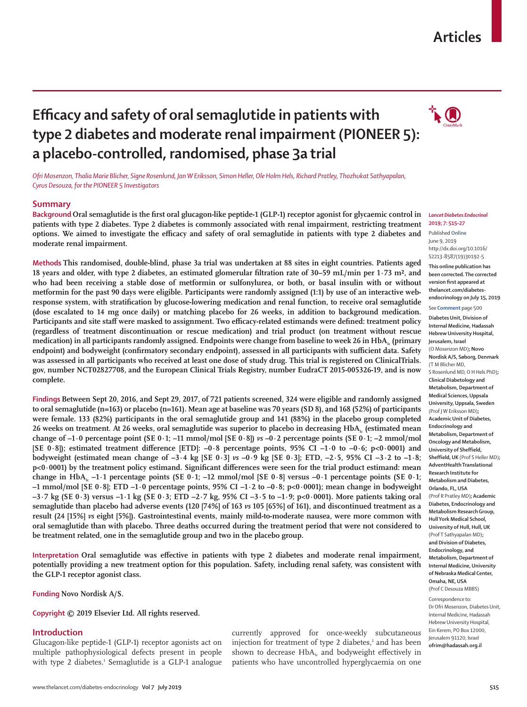# **Articles**

# **Efficacy and safety of oral semaglutide in patients with type 2 diabetes and moderate renal impairment (PIONEER 5): a placebo-controlled, randomised, phase 3a trial**

 $\cdot$  (O)

*Ofri Mosenzon, Thalia Marie Blicher, Signe Rosenlund, Jan W Eriksson, Simon Heller, Ole Holm Hels, Richard Pratley, Thozhukat Sathyapalan, Cyrus Desouza, for the PIONEER 5 Investigators*

## **Summary**

**Background Oral semaglutide is the first oral glucagon-like peptide-1 (GLP-1) receptor agonist for glycaemic control in patients with type 2 diabetes. Type 2 diabetes is commonly associated with renal impairment, restricting treatment options. We aimed to investigate the efficacy and safety of oral semaglutide in patients with type 2 diabetes and moderate renal impairment.**

**Methods This randomised, double-blind, phase 3a trial was undertaken at 88 sites in eight countries. Patients aged 18 years and older, with type 2 diabetes, an estimated glomerular filtration rate of 30–59 mL/min per 1·73 m², and who had been receiving a stable dose of metformin or sulfonylurea, or both, or basal insulin with or without metformin for the past 90 days were eligible. Participants were randomly assigned (1:1) by use of an interactive webresponse system, with stratification by glucose-lowering medication and renal function, to receive oral semaglutide (dose escalated to 14 mg once daily) or matching placebo for 26 weeks, in addition to background medication. Participants and site staff were masked to assignment. Two efficacy-related estimands were defined: treatment policy (regardless of treatment discontinuation or rescue medication) and trial product (on treatment without rescue medication) in all participants randomly assigned. Endpoints were change from baseline to week 26 in HbA<sub>1c</sub> (primary endpoint) and bodyweight (confirmatory secondary endpoint), assessed in all participants with sufficient data. Safety was assessed in all participants who received at least one dose of study drug. This trial is registered on ClinicalTrials. gov, number NCT02827708, and the European Clinical Trials Registry, number EudraCT 2015-005326-19, and is now complete.**

**Findings Between Sept 20, 2016, and Sept 29, 2017, of 721 patients screened, 324 were eligible and randomly assigned to oral semaglutide (n=163) or placebo (n=161). Mean age at baseline was 70 years (SD 8), and 168 (52%) of participants were female. 133 (82%) participants in the oral semaglutide group and 141 (88%) in the placebo group completed 26 weeks on treatment. At 26 weeks, oral semaglutide was superior to placebo in decreasing HbA<sub>1c</sub> (estimated mean change of –1·0 percentage point (SE 0·1; –11 mmol/mol [SE 0·8])** *vs* **–0·2 percentage points (SE 0·1; –2 mmol/mol [SE 0·8]); estimated treatment difference [ETD]: –0·8 percentage points, 95% CI –1·0 to –0·6; p<0·0001) and bodyweight (estimated mean change of –3·4 kg [SE 0·3]** *vs* **–0·9 kg [SE 0·3]; ETD, –2·5, 95% CI –3·2 to –1·8; p<0·0001) by the treatment policy estimand. Significant differences were seen for the trial product estimand: mean**  change in HbA<sub>1c</sub>  $-1.1$  percentage points (SE  $0.1$ ;  $-12$  mmol/mol [SE  $0.8$ ] versus  $-0.1$  percentage points (SE  $0.1$ ; **–1 mmol/mol [SE 0·8]; ETD –1·0 percentage points, 95% CI –1·2 to –0·8; p<0·0001); mean change in bodyweight –3·7 kg (SE 0·3) versus –1·1 kg (SE 0·3; ETD –2·7 kg, 95% CI –3·5 to –1·9; p<0·0001). More patients taking oral semaglutide than placebo had adverse events (120 [74%] of 163** *vs* **105 [65%] of 161), and discontinued treatment as a result (24 [15%]** *vs* **eight [5%]). Gastrointestinal events, mainly mild-to-moderate nausea, were more common with oral semaglutide than with placebo. Three deaths occurred during the treatment period that were not considered to be treatment related, one in the semaglutide group and two in the placebo group.**

**Interpretation Oral semaglutide was effective in patients with type 2 diabetes and moderate renal impairment, potentially providing a new treatment option for this population. Safety, including renal safety, was consistent with the GLP-1 receptor agonist class.**

**Funding Novo Nordisk A/S.**

**Copyright © 2019 Elsevier Ltd. All rights reserved.**

## **Introduction**

Glucagon-like peptide-1 (GLP-1) receptor agonists act on multiple pathophysiological defects present in people with type 2 diabetes.<sup>1</sup> Semaglutide is a GLP-1 analogue currently approved for once-weekly subcutaneous injection for treatment of type 2 diabetes, $2$  and has been shown to decrease  $HbA_i$  and bodyweight effectively in patients who have uncontrolled hyperglycaemia on one

#### *Lancet Diabetes Endocrinol* **2019; 7: 515–27**

Published **Online** June 9, 2019 http://dx.doi.org/10.1016/ S2213-8587(19)30192-5 **This online publication has been corrected. The corrected version first appeared at thelancet.com/diabetes-**

**endocrinology on July 15, 2019**

See **Comment** page 500

**Diabetes Unit, Division of Internal Medicine, Hadassah Hebrew University Hospital, Jerusalem, Israel**  (O Mosenzon MD)**; Novo Nordisk A/S, Søborg, Denmark**  (T M Blicher MD, S Rosenlund MD, O H Hels PhD)**; Clinical Diabetology and Metabolism, Department of Medical Sciences, Uppsala University, Uppsala, Sweden**  (Prof J W Eriksson MD)**; Academic Unit of Diabetes, Endocrinology and Metabolism, Department of Oncology and Metabolism, University of Sheffield, Sheffield, UK** (Prof S Heller MD)**; AdventHealth Translational Research Institute for Metabolism and Diabetes, Orlando, FL, USA**  (Prof R Pratley MD)**; Academic Diabetes, Endocrinology and Metabolism Research Group, Hull York Medical School, University of Hull, Hull, UK**  (Prof T Sathyapalan MD)**; and Division of Diabetes, Endocrinology, and Metabolism, Department of Internal Medicine, University of Nebraska Medical Center, Omaha, NE, USA**  (Prof C Desouza MBBS)

Correspondence to: Dr Ofri Mosenzon, Diabetes Unit, Internal Medicine, Hadassah Hebrew University Hospital, Ein Kerem, PO Box 12000, Jerusalem 91120, Israel **ofrim@hadassah.org.il**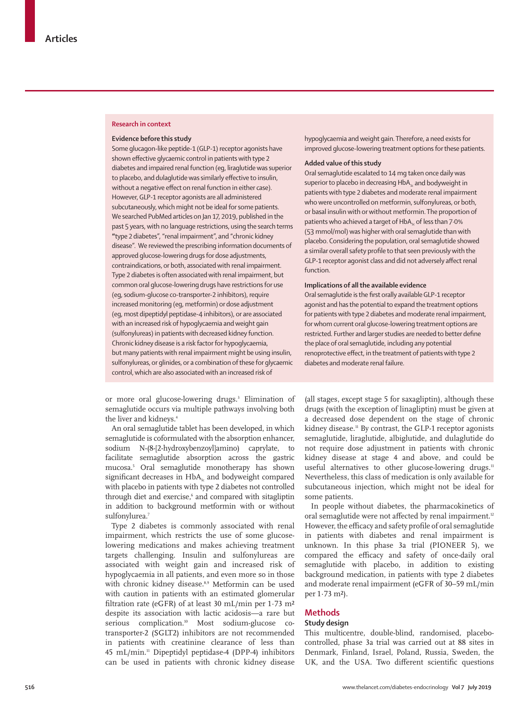#### **Research in context**

#### **Evidence before this study**

Some glucagon-like peptide-1 (GLP-1) receptor agonists have shown effective glycaemic control in patients with type 2 diabetes and impaired renal function (eg, liraglutide was superior to placebo, and dulaglutide was similarly effective to insulin, without a negative effect on renal function in either case). However, GLP-1 receptor agonists are all administered subcutaneously, which might not be ideal for some patients. We searched PubMed articles on Jan 17, 2019, published in the past 5 years, with no language restrictions, using the search terms **"**type 2 diabetes", "renal impairment", and "chronic kidney disease". We reviewed the prescribing information documents of approved glucose-lowering drugs for dose adjustments, contraindications, or both, associated with renal impairment. Type 2 diabetes is often associated with renal impairment, but common oral glucose-lowering drugs have restrictions for use (eg, sodium-glucose co-transporter-2 inhibitors), require increased monitoring (eg, metformin) or dose adjustment (eg, most dipeptidyl peptidase-4 inhibitors), or are associated with an increased risk of hypoglycaemia and weight gain (sulfonylureas) in patients with decreased kidney function. Chronic kidney disease is a risk factor for hypoglycaemia, but many patients with renal impairment might be using insulin, sulfonylureas, or glinides, or a combination of these for glycaemic control, which are also associated with an increased risk of

or more oral glucose-lowering drugs.3 Elimination of semaglutide occurs via multiple pathways involving both the liver and kidneys.<sup>4</sup>

An oral semaglutide tablet has been developed, in which semaglutide is coformulated with the absorption enhancer, sodium N-(8-[2-hydroxybenzoyl]amino) caprylate, to facilitate semaglutide absorption across the gastric mucosa.5 Oral semaglutide monotherapy has shown significant decreases in  $HbA<sub>i</sub>$  and bodyweight compared with placebo in patients with type 2 diabetes not controlled through diet and exercise,<sup>6</sup> and compared with sitagliptin in addition to background metformin with or without sulfonylurea.7

Type 2 diabetes is commonly associated with renal impairment, which restricts the use of some glucoselowering medications and makes achieving treatment targets challenging. Insulin and sulfonylureas are associated with weight gain and increased risk of hypoglycaemia in all patients, and even more so in those with chronic kidney disease.<sup>8,9</sup> Metformin can be used with caution in patients with an estimated glomerular filtration rate (eGFR) of at least 30 mL/min per 1·73 m² despite its association with lactic acidosis—a rare but serious complication.<sup>10</sup> Most sodium-glucose cotransporter-2 (SGLT2) inhibitors are not recommended in patients with creatinine clearance of less than 45 mL/min.11 Dipeptidyl peptidase-4 (DPP-4) inhibitors can be used in patients with chronic kidney disease hypoglycaemia and weight gain. Therefore, a need exists for improved glucose-lowering treatment options for these patients.

## **Added value of this study**

Oral semaglutide escalated to 14 mg taken once daily was superior to placebo in decreasing HbA<sub>1c</sub> and bodyweight in patients with type 2 diabetes and moderate renal impairment who were uncontrolled on metformin, sulfonylureas, or both, or basal insulin with or without metformin. The proportion of patients who achieved a target of  $HbA<sub>1c</sub>$  of less than 7.0% (53 mmol/mol) was higher with oral semaglutide than with placebo. Considering the population, oral semaglutide showed a similar overall safety profile to that seen previously with the GLP-1 receptor agonist class and did not adversely affect renal function.

## **Implications of all the available evidence**

Oral semaglutide is the first orally available GLP-1 receptor agonist and has the potential to expand the treatment options for patients with type 2 diabetes and moderate renal impairment, for whom current oral glucose-lowering treatment options are restricted. Further and larger studies are needed to better define the place of oral semaglutide, including any potential renoprotective effect, in the treatment of patients with type 2 diabetes and moderate renal failure.

(all stages, except stage 5 for saxagliptin), although these drugs (with the exception of linagliptin) must be given at a decreased dose dependent on the stage of chronic kidney disease.<sup>11</sup> By contrast, the GLP-1 receptor agonists semaglutide, liraglutide, albiglutide, and dulaglutide do not require dose adjustment in patients with chronic kidney disease at stage 4 and above, and could be useful alternatives to other glucose-lowering drugs.<sup>11</sup> Nevertheless, this class of medication is only available for subcutaneous injection, which might not be ideal for some patients.

In people without diabetes, the pharmacokinetics of oral semaglutide were not affected by renal impairment.<sup>12</sup> However, the efficacy and safety profile of oral semaglutide in patients with diabetes and renal impairment is unknown. In this phase 3a trial (PIONEER 5), we compared the efficacy and safety of once-daily oral semaglutide with placebo, in addition to existing background medication, in patients with type 2 diabetes and moderate renal impairment (eGFR of 30–59 mL/min per 1·73 m²).

## **Methods**

# **Study design**

This multicentre, double-blind, randomised, placebocontrolled, phase 3a trial was carried out at 88 sites in Denmark, Finland, Israel, Poland, Russia, Sweden, the UK, and the USA. Two different scientific questions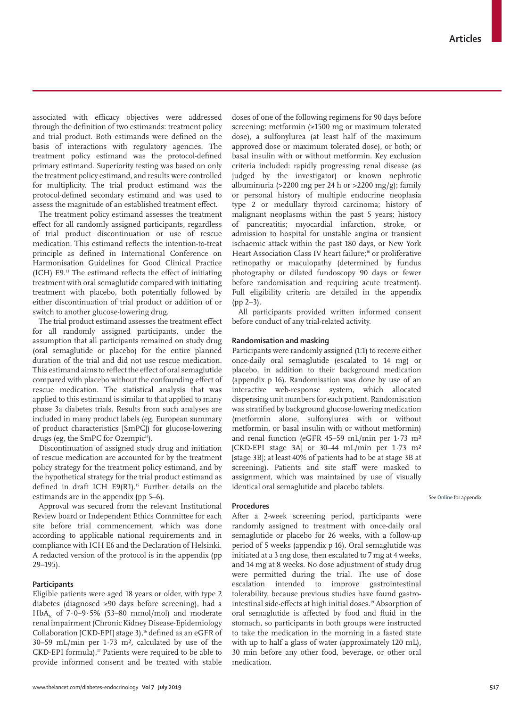associated with efficacy objectives were addressed through the definition of two estimands: treatment policy and trial product. Both estimands were defined on the basis of interactions with regulatory agencies. The treatment policy estimand was the protocol-defined primary estimand. Superiority testing was based on only the treatment policy estimand, and results were controlled for multiplicity. The trial product estimand was the protocol-defined secondary estimand and was used to assess the magnitude of an established treatment effect.

The treatment policy estimand assesses the treatment effect for all randomly assigned participants, regardless of trial product discontinuation or use of rescue medication. This estimand reflects the intention-to-treat principle as defined in International Conference on Harmonisation Guidelines for Good Clinical Practice (ICH) E9.13 The estimand reflects the effect of initiating treatment with oral semaglutide compared with initiating treatment with placebo, both potentially followed by either discontinuation of trial product or addition of or switch to another glucose-lowering drug.

The trial product estimand assesses the treatment effect for all randomly assigned participants, under the assumption that all participants remained on study drug (oral semaglutide or placebo) for the entire planned duration of the trial and did not use rescue medication. This estimand aims to reflect the effect of oral semaglutide compared with placebo without the confounding effect of rescue medication. The statistical analysis that was applied to this estimand is similar to that applied to many phase 3a diabetes trials. Results from such analyses are included in many product labels (eg, European summary of product characteristics [SmPC]) for glucose-lowering drugs (eg, the SmPC for Ozempic<sup>14</sup>).

Discontinuation of assigned study drug and initiation of rescue medication are accounted for by the treatment policy strategy for the treatment policy estimand, and by the hypothetical strategy for the trial product estimand as defined in draft ICH E9(R1).<sup>15</sup> Further details on the estimands are in the appendix **(**pp 5–6).

Approval was secured from the relevant Institutional Review board or Independent Ethics Committee for each site before trial commencement, which was done according to applicable national requirements and in compliance with ICH E6 and the Declaration of Helsinki. A redacted version of the protocol is in the appendix (pp 29–195).

## **Participants**

Eligible patients were aged 18 years or older, with type 2 diabetes (diagnosed ≥90 days before screening), had a HbA<sub>1c</sub> of  $7.0 - 9.5\%$  (53–80 mmol/mol) and moderate renal impairment (Chronic Kidney Disease-Epidemiology Collaboration [CKD-EPI] stage 3),<sup>16</sup> defined as an eGFR of 30–59 mL/min per 1·73 m², calculated by use of the CKD-EPI formula).17 Patients were required to be able to provide informed consent and be treated with stable doses of one of the following regimens for 90 days before screening: metformin (≥1500 mg or maximum tolerated dose), a sulfonylurea (at least half of the maximum approved dose or maximum tolerated dose), or both; or basal insulin with or without metformin. Key exclusion criteria included: rapidly progressing renal disease (as judged by the investigator) or known nephrotic albuminuria (>2200 mg per 24 h or >2200 mg/g); family or personal history of multiple endocrine neoplasia type 2 or medullary thyroid carcinoma; history of malignant neoplasms within the past 5 years; history of pancreatitis; myocardial infarction, stroke, or admission to hospital for unstable angina or transient ischaemic attack within the past 180 days, or New York Heart Association Class IV heart failure;<sup>18</sup> or proliferative retinopathy or maculopathy (determined by fundus photography or dilated fundoscopy 90 days or fewer before randomisation and requiring acute treatment). Full eligibility criteria are detailed in the appendix (pp 2–3).

All participants provided written informed consent before conduct of any trial-related activity.

### **Randomisation and masking**

Participants were randomly assigned (1:1) to receive either once-daily oral semaglutide (escalated to 14 mg) or placebo, in addition to their background medication (appendix p 16). Randomisation was done by use of an interactive web-response system, which allocated dispensing unit numbers for each patient. Randomisation was stratified by background glucose-lowering medication (metformin alone, sulfonylurea with or without metformin, or basal insulin with or without metformin) and renal function (eGFR 45–59 mL/min per 1·73 m² [CKD-EPI stage 3A] or 30–44 mL/min per 1·73 m² [stage 3B]; at least 40% of patients had to be at stage 3B at screening). Patients and site staff were masked to assignment, which was maintained by use of visually identical oral semaglutide and placebo tablets.

#### **Procedures**

After a 2-week screening period, participants were randomly assigned to treatment with once-daily oral semaglutide or placebo for 26 weeks, with a follow-up period of 5 weeks (appendix p 16). Oral semaglutide was initiated at a 3 mg dose, then escalated to 7 mg at 4 weeks, and 14 mg at 8 weeks. No dose adjustment of study drug were permitted during the trial. The use of dose escalation intended to improve gastrointestinal tolerability, because previous studies have found gastrointestinal side-effects at high initial doses.19 Absorption of oral semaglutide is affected by food and fluid in the stomach, so participants in both groups were instructed to take the medication in the morning in a fasted state with up to half a glass of water (approximately 120 mL), 30 min before any other food, beverage, or other oral medication.

See **Online** for appendix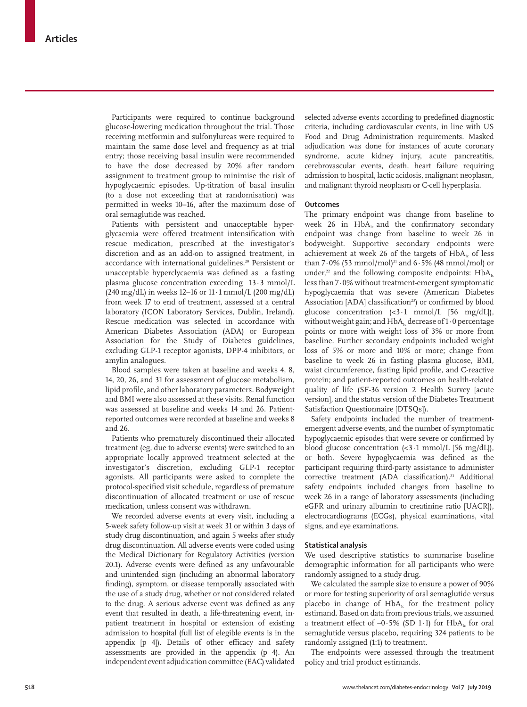Participants were required to continue background glucose-lowering medication throughout the trial. Those receiving metformin and sulfonylureas were required to maintain the same dose level and frequency as at trial entry; those receiving basal insulin were recommended to have the dose decreased by 20% after random assignment to treatment group to minimise the risk of hypoglycaemic episodes. Up-titration of basal insulin (to a dose not exceeding that at randomisation) was permitted in weeks 10–16, after the maximum dose of oral semaglutide was reached.

Patients with persistent and unacceptable hyperglycaemia were offered treatment intensification with rescue medication, prescribed at the investigator's discretion and as an add-on to assigned treatment, in accordance with international guidelines.<sup>20</sup> Persistent or unacceptable hyperclycaemia was defined as a fasting plasma glucose concentration exceeding 13·3 mmol/L  $(240 \text{ mg}/dL)$  in weeks 12–16 or  $11 \cdot 1 \text{ mmol/L}$  (200 mg/dL) from week 17 to end of treatment, assessed at a central laboratory (ICON Laboratory Services, Dublin, Ireland). Rescue medication was selected in accordance with American Diabetes Association (ADA) or European Association for the Study of Diabetes guidelines, excluding GLP-1 receptor agonists, DPP-4 inhibitors, or amylin analogues.

Blood samples were taken at baseline and weeks 4, 8, 14, 20, 26, and 31 for assessment of glucose metabolism, lipid profile, and other laboratory parameters. Bodyweight and BMI were also assessed at these visits. Renal function was assessed at baseline and weeks 14 and 26. Patientreported outcomes were recorded at baseline and weeks 8 and 26.

Patients who prematurely discontinued their allocated treatment (eg, due to adverse events) were switched to an appropriate locally approved treatment selected at the investigator's discretion, excluding GLP-1 receptor agonists. All participants were asked to complete the protocol-specified visit schedule, regardless of premature discontinuation of allocated treatment or use of rescue medication, unless consent was withdrawn.

We recorded adverse events at every visit, including a 5-week safety follow-up visit at week 31 or within 3 days of study drug discontinuation, and again 5 weeks after study drug discontinuation. All adverse events were coded using the Medical Dictionary for Regulatory Activities (version 20.1). Adverse events were defined as any unfavourable and unintended sign (including an abnormal laboratory finding), symptom, or disease temporally associated with the use of a study drug, whether or not considered related to the drug. A serious adverse event was defined as any event that resulted in death, a life-threatening event, inpatient treatment in hospital or extension of existing admission to hospital (full list of elegible events is in the appendix [p 4]). Details of other efficacy and safety assessments are provided in the appendix (p 4). An independent event adjudication committee (EAC) validated selected adverse events according to predefined diagnostic criteria, including cardiovascular events, in line with US Food and Drug Administration requirements. Masked adjudication was done for instances of acute coronary syndrome, acute kidney injury, acute pancreatitis, cerebrovascular events, death, heart failure requiring admission to hospital, lactic acidosis, malignant neoplasm, and malignant thyroid neoplasm or C-cell hyperplasia.

### **Outcomes**

The primary endpoint was change from baseline to week 26 in  $HbA_i$  and the confirmatory secondary endpoint was change from baseline to week 26 in bodyweight. Supportive secondary endpoints were achievement at week 26 of the targets of  $HbA_1$  of less than  $7.0\%$  (53 mmol/mol)<sup>21</sup> and  $6.5\%$  (48 mmol/mol) or under,<sup>22</sup> and the following composite endpoints:  $HbA<sub>1c</sub>$ less than 7·0% without treatment-emergent symptomatic hypoglycaemia that was severe (American Diabetes Association [ADA] classification<sup>23</sup>) or confirmed by blood glucose concentration (<3·1 mmol/L [56 mg/dL]), without weight gain; and  $HbA<sub>i</sub>$  decrease of  $1.0$  percentage points or more with weight loss of 3% or more from baseline. Further secondary endpoints included weight loss of 5% or more and 10% or more; change from baseline to week 26 in fasting plasma glucose, BMI, waist circumference, fasting lipid profile, and C-reactive protein; and patient-reported outcomes on health-related quality of life (SF-36 version 2 Health Survey [acute version], and the status version of the Diabetes Treatment Satisfaction Questionnaire [DTSQs]).

Safety endpoints included the number of treatmentemergent adverse events, and the number of symptomatic hypoglycaemic episodes that were severe or confirmed by blood glucose concentration  $\langle$ <3·1 mmol/L [56 mg/dL]), or both. Severe hypoglycaemia was defined as the participant requiring third-party assistance to administer corrective treatment (ADA classification).<sup>23</sup> Additional safety endpoints included changes from baseline to week 26 in a range of laboratory assessments (including eGFR and urinary albumin to creatinine ratio [UACR]), electrocardiograms (ECGs), physical examinations, vital signs, and eye examinations.

## **Statistical analysis**

We used descriptive statistics to summarise baseline demographic information for all participants who were randomly assigned to a study drug.

We calculated the sample size to ensure a power of 90% or more for testing superiority of oral semaglutide versus placebo in change of  $HbA_i$  for the treatment policy estimand. Based on data from previous trials, we assumed a treatment effect of  $-0.5\%$  (SD 1.1) for HbA<sub>1c</sub> for oral semaglutide versus placebo, requiring 324 patients to be randomly assigned (1:1) to treatment.

The endpoints were assessed through the treatment policy and trial product estimands.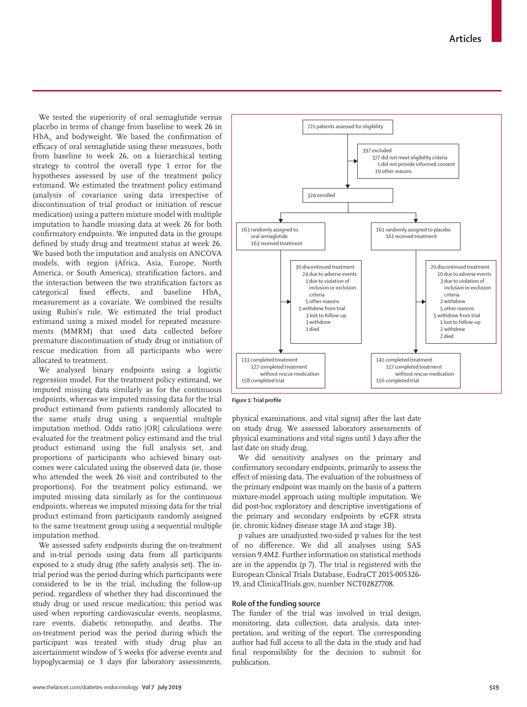We tested the superiority of oral semaglutide versus placebo in terms of change from baseline to week 26 in  $HbA<sub>1c</sub>$  and bodyweight. We based the confirmation of efficacy of oral semaglutide using these measures, both from baseline to week 26, on a hierarchical testing strategy to control the overall type 1 error for the hypotheses assessed by use of the treatment policy estimand. We estimated the treatment policy estimand (analysis of covariance using data irrespective of discontinuation of trial product or initiation of rescue medication) using a pattern mixture model with multiple imputation to handle missing data at week 26 for both confirmatory endpoints. We imputed data in the groups defined by study drug and treatment status at week 26. We based both the imputation and analysis on ANCOVA models, with region (Africa, Asia, Europe, North America, or South America), stratification factors, and the interaction between the two stratification factors as categorical fixed effects, and baseline  $HbA_1$ . measurement as a covariate. We combined the results using Rubin's rule. We estimated the trial product estimand using a mixed model for repeated measurements (MMRM) that used data collected before premature discontinuation of study drug or initiation of rescue medication from all participants who were allocated to treatment.

We analysed binary endpoints using a logistic regression model. For the treatment policy estimand, we imputed missing data similarly as for the continuous endpoints, whereas we imputed missing data for the trial product estimand from patients randomly allocated to the same study drug using a sequential multiple imputation method. Odds ratio [OR] calculations were evaluated for the treatment policy estimand and the trial product estimand using the full analysis set, and proportions of participants who achieved binary outcomes were calculated using the observed data (ie, those who attended the week 26 visit and contributed to the proportions). For the treatment policy estimand, we imputed missing data similarly as for the continuous endpoints, whereas we imputed missing data for the trial product estimand from participants randomly assigned to the same treatment group using a sequential multiple imputation method.

We assessed safety endpoints during the on-treatment and in-trial periods using data from all participants exposed to a study drug (the safety analysis set). The intrial period was the period during which participants were considered to be in the trial, including the follow-up period, regardless of whether they had discontinued the study drug or used rescue medication; this period was used when reporting cardiovascular events, neoplasms, rare events, diabetic retinopathy, and deaths. The on-treatment period was the period during which the participant was treated with study drug plus an ascertainment window of 5 weeks (for adverse events and hypoglycaemia) or 3 days (for laboratory assessments,



*Figure 1:* **Trial profile**

physical examinations, and vital signs) after the last date on study drug. We assessed laboratory assessments of physical examinations and vital signs until 3 days after the last date on study drug.

We did sensitivity analyses on the primary and confirmatory secondary endpoints, primarily to assess the effect of missing data. The evaluation of the robustness of the primary endpoint was mainly on the basis of a pattern mixture-model approach using multiple imputation. We did post-hoc exploratory and descriptive investigations of the primary and secondary endpoints by eGFR strata (ie, chronic kidney disease stage 3A and stage 3B).

p values are unadjusted two-sided p values for the test of no difference. We did all analyses using SAS version 9.4M2. Further information on statistical methods are in the appendix (p 7). The trial is registered with the European Clinical Trials Database, EudraCT 2015-005326- 19, and ClinicalTrials.gov, number NCT02827708.

## **Role of the funding source**

The funder of the trial was involved in trial design, monitoring, data collection, data analysis, data interpretation, and writing of the report. The corresponding author had full access to all the data in the study and had final responsibility for the decision to submit for publication.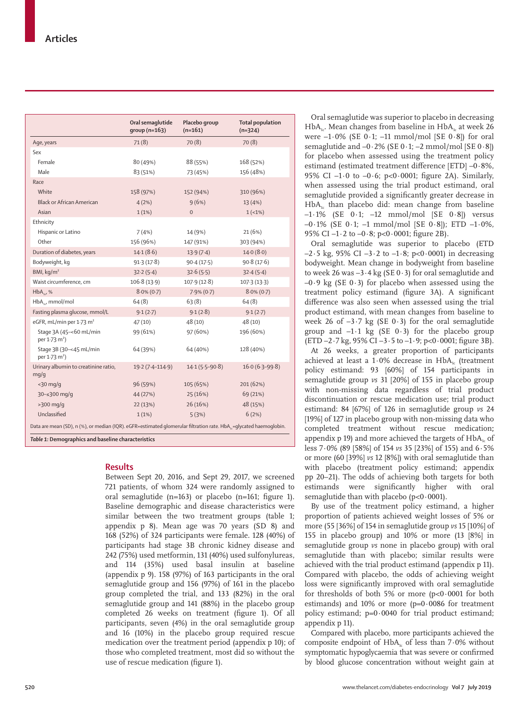|                                                                                                                                                                                           | Oral semaglutide<br>group $(n=163)$ | Placebo group<br>$(n=161)$ | <b>Total population</b><br>$(n=324)$ |  |
|-------------------------------------------------------------------------------------------------------------------------------------------------------------------------------------------|-------------------------------------|----------------------------|--------------------------------------|--|
| Age, years                                                                                                                                                                                | 71(8)                               | 70(8)                      | 70(8)                                |  |
| Sex                                                                                                                                                                                       |                                     |                            |                                      |  |
| Female                                                                                                                                                                                    | 80 (49%)                            | 88 (55%)                   | 168 (52%)                            |  |
| Male                                                                                                                                                                                      | 83 (51%)                            | 73 (45%)                   | 156 (48%)                            |  |
| Race                                                                                                                                                                                      |                                     |                            |                                      |  |
| White                                                                                                                                                                                     | 158 (97%)                           | 152 (94%)                  | 310 (96%)                            |  |
| <b>Black or African American</b>                                                                                                                                                          | 4(2%)                               | 9(6%)                      | 13 (4%)                              |  |
| Asian                                                                                                                                                                                     | 1(1%)                               | $\boldsymbol{0}$           | $1(-1%)$                             |  |
| Ethnicity                                                                                                                                                                                 |                                     |                            |                                      |  |
| Hispanic or Latino                                                                                                                                                                        | 7(4%)                               | 14 (9%)                    | 21(6%)                               |  |
| Other                                                                                                                                                                                     | 156 (96%)                           | 147 (91%)                  | 303 (94%)                            |  |
| Duration of diabetes, years                                                                                                                                                               | 14.1(8.6)                           | 13.9(7.4)                  | 14.0(8.0)                            |  |
| Bodyweight, kg                                                                                                                                                                            | 91.3(17.8)                          | 90.4(17.5)                 | 90.8(17.6)                           |  |
| BMI, $kg/m2$                                                                                                                                                                              | 32.2(5.4)                           | 32.6(5.5)                  | 32.4(5.4)                            |  |
| Waist circumference, cm                                                                                                                                                                   | 106.8(13.9)                         | 107.9 (12.8)               | 107.3(13.3)                          |  |
| $HbA_{1c}$ , %                                                                                                                                                                            | $8.0\%$ (0.7)                       | $7.9\%$ (0.7)              | $8.0\%$ (0.7)                        |  |
| $HbA_{1a}$ mmol/mol                                                                                                                                                                       | 64(8)                               | 63(8)                      | 64(8)                                |  |
| Fasting plasma glucose, mmol/L                                                                                                                                                            | 9.1(2.7)                            | 9.1(2.8)                   | 9.1(2.7)                             |  |
| eGFR, mL/min per 1.73 m <sup>2</sup>                                                                                                                                                      | 47(10)                              | 48 (10)                    | 48 (10)                              |  |
| Stage 3A (45-<60 mL/min<br>per 1.73 m <sup>2</sup> )                                                                                                                                      | 99 (61%)                            | 97 (60%)                   | 196 (60%)                            |  |
| Stage 3B (30-<45 mL/min<br>per 1.73 m <sup>2</sup> )                                                                                                                                      | 64 (39%)                            | 64 (40%)                   | 128 (40%)                            |  |
| Urinary albumin to creatinine ratio,<br>mg/g                                                                                                                                              | $19.2(7.4 - 114.9)$                 | $14.1(5.5-90.8)$           | $16.0(6.3-99.8)$                     |  |
| $<$ 30 mg/g                                                                                                                                                                               | 96 (59%)                            | 105 (65%)                  | 201 (62%)                            |  |
| 30-≤300 mg/g                                                                                                                                                                              | 44 (27%)                            | 25 (16%)                   | 69 (21%)                             |  |
| $>300$ mg/g                                                                                                                                                                               | 22 (13%)                            | 26 (16%)                   | 48 (15%)                             |  |
| Unclassified                                                                                                                                                                              | 1(1%)                               | 5(3%)                      | 6(2%)                                |  |
| Data are mean (SD), n (%), or median (IQR). eGFR=estimated glomerular filtration rate. HbA <sub>1e</sub> =glycated haemoglobin.<br>Tehla 1 . Damaa waa kisa an dhaaalina ahaye stevistiss |                                     |                            |                                      |  |

*Table 1:* **Demographics and baseline characteristics**

## **Results**

Between Sept 20, 2016, and Sept 29, 2017, we screened 721 patients, of whom 324 were randomly assigned to oral semaglutide (n=163) or placebo (n=161; figure 1). Baseline demographic and disease characteristics were similar between the two treatment groups (table 1; appendix p 8). Mean age was 70 years (SD 8) and 168 (52%) of 324 participants were female. 128 (40%) of participants had stage 3B chronic kidney disease and 242 (75%) used metformin, 131 (40%) used sulfonylureas, and 114 (35%) used basal insulin at baseline (appendix p 9). 158 (97%) of 163 participants in the oral semaglutide group and 156 (97%) of 161 in the placebo group completed the trial, and 133 (82%) in the oral semaglutide group and 141 (88%) in the placebo group completed 26 weeks on treatment (figure 1). Of all participants, seven (4%) in the oral semaglutide group and 16 (10%) in the placebo group required rescue medication over the treatment period (appendix p 10); of those who completed treatment, most did so without the use of rescue medication (figure 1).

Oral semaglutide was superior to placebo in decreasing  $HbA<sub>1c</sub>$ . Mean changes from baseline in  $HbA<sub>1c</sub>$  at week 26 were  $-1.0\%$  (SE 0.1;  $-11$  mmol/mol [SE 0.8]) for oral semaglutide and  $-0.2\%$  (SE 0.1;  $-2$  mmol/mol [SE  $0.8$ ]) for placebo when assessed using the treatment policy estimand (estimated treatment difference [ETD] –0·8%, 95% CI –1 $\cdot$  0 to –0 $\cdot$ 6; p<0 $\cdot$ 0001; figure 2A). Similarly, when assessed using the trial product estimand, oral semaglutide provided a significantly greater decrease in  $HbA<sub>i</sub>$  than placebo did: mean change from baseline  $-1.1\%$  (SE 0.1;  $-12$  mmol/mol [SE 0.8]) versus –0·1% (SE 0·1; –1 mmol/mol [SE 0·8]); ETD –1·0%, 95% CI –1·2 to –0·8; p<0·0001; figure 2B).

Oral semaglutide was superior to placebo (ETD –2·5 kg, 95% CI –3·2 to –1·8; p<0·0001) in decreasing bodyweight. Mean change in bodyweight from baseline to week 26 was  $-3.4$  kg (SE 0.3) for oral semaglutide and  $-0.9$  kg (SE  $0.3$ ) for placebo when assessed using the treatment policy estimand (figure 3A). A significant difference was also seen when assessed using the trial product estimand, with mean changes from baseline to week 26 of  $-3.7$  kg (SE 0.3) for the oral semaglutide group and  $-1.1$  kg (SE 0.3) for the placebo group (ETD  $-2.7$  kg, 95% CI  $-3.5$  to  $-1.9$ ; p<0.0001; figure 3B).

At 26 weeks, a greater proportion of participants achieved at least a  $1.0\%$  decrease in HbA<sub>1c</sub> (treatment policy estimand: 93 [60%] of 154 participants in semaglutide group *vs* 31 [20%] of 155 in placebo group with non-missing data regardless of trial product discontinuation or rescue medication use; trial product estimand: 84 [67%] of 126 in semaglutide group *vs* 24 [19%] of 127 in placebo group with non-missing data who completed treatment without rescue medication**;** appendix p 19) and more achieved the targets of  $HbA<sub>i</sub>$  of less 7·0% (89 [58%] of 154 *vs* 35 [23%] of 155) and 6·5% or more (60 [39%] *vs* 12 [8%]) with oral semaglutide than with placebo (treatment policy estimand; appendix pp 20–21). The odds of achieving both targets for both estimands were significantly higher with oral semaglutide than with placebo ( $p < 0.0001$ ).

By use of the treatment policy estimand, a higher proportion of patients achieved weight losses of 5% or more (55 [36%] of 154 in semaglutide group *vs* 15 [10%] of 155 in placebo group) and 10% or more (13 [8%] in semaglutide group *vs* none in placebo group) with oral semaglutide than with placebo; similar results were achieved with the trial product estimand (appendix p 11). Compared with placebo, the odds of achieving weight loss were significantly improved with oral semaglutide for thresholds of both 5% or more (p<0·0001 for both estimands) and  $10\%$  or more ( $p=0.0086$  for treatment policy estimand; p=0·0040 for trial product estimand; appendix p 11).

Compared with placebo, more participants achieved the composite endpoint of  $HbA<sub>1c</sub>$  of less than 7.0% without symptomatic hypoglycaemia that was severe or confirmed by blood glucose concentration without weight gain at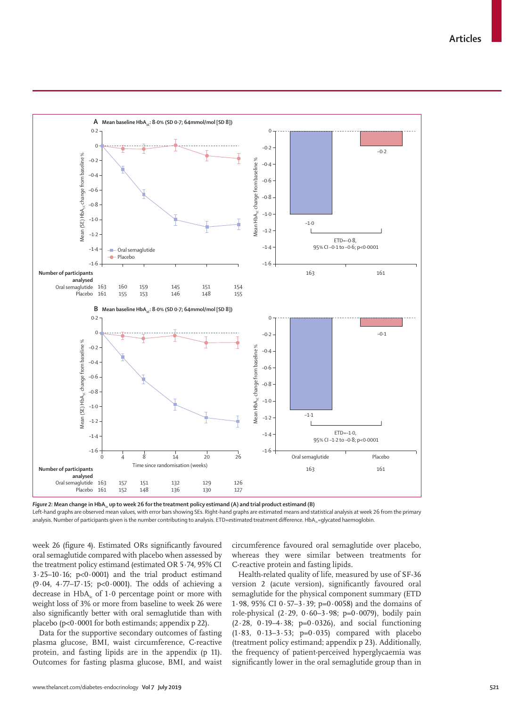

*Figure 2:* Mean change in HbA<sub>1</sub>, up to week 26 for the treatment policy estimand (A) and trial product estimand (B) Left-hand graphs are observed mean values, with error bars showing SEs. Right-hand graphs are estimated means and statistical analysis at week 26 from the primary analysis. Number of participants given is the number contributing to analysis. ETD=estimated treatment difference. HbA<sub>1c</sub>=glycated haemoglobin.

week 26 (figure 4). Estimated ORs significantly favoured oral semaglutide compared with placebo when assessed by the treatment policy estimand (estimated OR 5·74, 95% CI 3·25–10·16; p<0·0001) and the trial product estimand (9·04, 4·77–17·15; p<0·0001). The odds of achieving a decrease in  $HbA<sub>i</sub>$  of 1.0 percentage point or more with weight loss of 3% or more from baseline to week 26 were also significantly better with oral semaglutide than with placebo (p<0·0001 for both estimands; appendix p 22).

Data for the supportive secondary outcomes of fasting plasma glucose, BMI, waist circumference, C-reactive protein, and fasting lipids are in the appendix (p 11). Outcomes for fasting plasma glucose, BMI, and waist circumference favoured oral semaglutide over placebo, whereas they were similar between treatments for C-reactive protein and fasting lipids.

Health-related quality of life, measured by use of SF-36 version 2 (acute version), significantly favoured oral semaglutide for the physical component summary (ETD 1·98, 95% CI 0·57–3·39; p=0·0058) and the domains of role-physical  $(2.29, 0.60-3.98; p=0.0079)$ , bodily pain (2·28, 0·19–4·38; p=0·0326), and social functioning (1·83, 0·13–3·53; p=0·035) compared with placebo (treatment policy estimand; appendix p 23). Additionally, the frequency of patient-perceived hyperglycaemia was significantly lower in the oral semaglutide group than in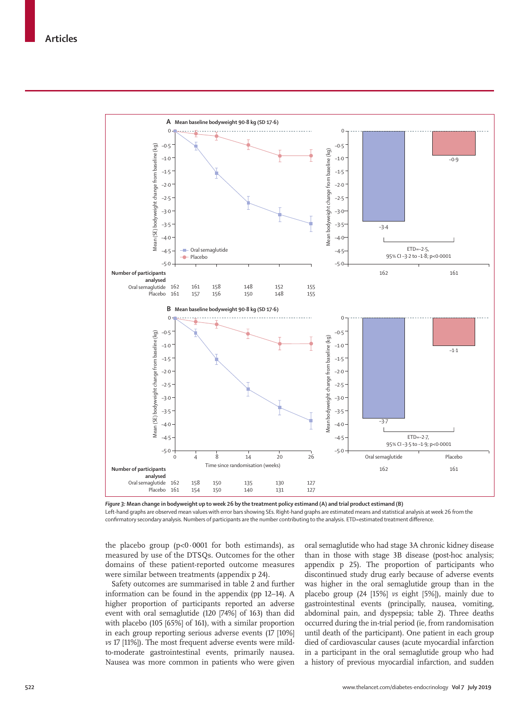

*Figure 3:* **Mean change in bodyweight up to week 26 by the treatment policy estimand (A) and trial product estimand (B)** Left-hand graphs are observed mean values with error bars showing SEs. Right-hand graphs are estimated means and statistical analysis at week 26 from the

confirmatory secondary analysis. Numbers of participants are the number contributing to the analysis. ETD=estimated treatment difference.

the placebo group ( $p<0.0001$  for both estimands), as measured by use of the DTSQs. Outcomes for the other domains of these patient-reported outcome measures were similar between treatments (appendix p 24).

Safety outcomes are summarised in table 2 and further information can be found in the appendix (pp 12–14). A higher proportion of participants reported an adverse event with oral semaglutide (120 [74%] of 163) than did with placebo (105 [65%] of 161), with a similar proportion in each group reporting serious adverse events (17 [10%] *vs* 17 [11%]). The most frequent adverse events were mildto-moderate gastrointestinal events, primarily nausea. Nausea was more common in patients who were given oral semaglutide who had stage 3A chronic kidney disease than in those with stage 3B disease (post-hoc analysis; appendix p 25). The proportion of participants who discontinued study drug early because of adverse events was higher in the oral semaglutide group than in the placebo group (24 [15%] *vs* eight [5%]), mainly due to gastrointestinal events (principally, nausea, vomiting, abdominal pain, and dyspepsia; table 2). Three deaths occurred during the in-trial period (ie, from randomisation until death of the participant). One patient in each group died of cardiovascular causes (acute myocardial infarction in a participant in the oral semaglutide group who had a history of previous myocardial infarction, and sudden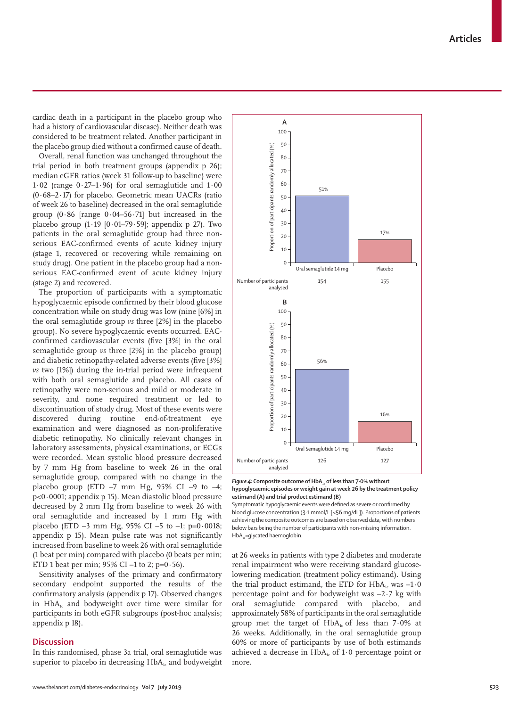**Articles**

Proportion of participants randomly allocated (%) Proportion of participants randomly allocated (%) 80 70 60 51% 50 40 30 17%20 10  $\Omega$ Oral semaglutide 14 mg<br>Placebo Number of participants 154 155 analysed **B** 100 Proportion of participants randomly allocated (%) 90 Proportion of participants randomly allocated (%) 80 70 56% 60 50 40 30 16% 20 10 0 Oral Semaglutide 14 mg Placebo Number of participants 126 127 analysed

100 90

**A**

cardiac death in a participant in the placebo group who had a history of cardiovascular disease). Neither death was considered to be treatment related. Another participant in the placebo group died without a confirmed cause of death.

Overall, renal function was unchanged throughout the trial period in both treatment groups (appendix p 26); median eGFR ratios (week 31 follow-up to baseline) were 1·02 (range 0·27–1·96) for oral semaglutide and 1·00 (0·68–2·17) for placebo. Geometric mean UACRs (ratio of week 26 to baseline) decreased in the oral semaglutide group  $(0.86$  [range  $0.04-56.71$ ] but increased in the placebo group  $(1.19 \mid 0.01-79.59)$ ; appendix p 27). Two patients in the oral semaglutide group had three nonserious EAC-confirmed events of acute kidney injury (stage 1, recovered or recovering while remaining on study drug). One patient in the placebo group had a nonserious EAC-confirmed event of acute kidney injury (stage 2) and recovered.

The proportion of participants with a symptomatic hypoglycaemic episode confirmed by their blood glucose concentration while on study drug was low (nine [6%] in the oral semaglutide group *vs* three [2%] in the placebo group). No severe hypoglycaemic events occurred. EACconfirmed cardiovascular events (five [3%] in the oral semaglutide group *vs* three [2%] in the placebo group) and diabetic retinopathy-related adverse events (five [3%] *vs* two [1%]) during the in-trial period were infrequent with both oral semaglutide and placebo. All cases of retinopathy were non-serious and mild or moderate in severity, and none required treatment or led to discontinuation of study drug. Most of these events were discovered during routine end-of-treatment eye examination and were diagnosed as non-proliferative diabetic retinopathy. No clinically relevant changes in laboratory assessments, physical examinations, or ECGs were recorded. Mean systolic blood pressure decreased by 7 mm Hg from baseline to week 26 in the oral semaglutide group, compared with no change in the placebo group (ETD  $-7$  mm Hg, 95% CI  $-9$  to  $-4$ ; p<0·0001; appendix p 15). Mean diastolic blood pressure decreased by 2 mm Hg from baseline to week 26 with oral semaglutide and increased by 1 mm Hg with placebo (ETD  $-3$  mm Hg, 95% CI  $-5$  to  $-1$ ; p=0 $\cdot$ 0018; appendix p 15). Mean pulse rate was not significantly increased from baseline to week 26 with oral semaglutide (1 beat per min) compared with placebo (0 beats per min; ETD 1 beat per min;  $95\%$  CI -1 to 2; p=0 $\cdot$  56).

Sensitivity analyses of the primary and confirmatory secondary endpoint supported the results of the confirmatory analysis (appendix p 17). Observed changes in  $HbA<sub>1c</sub>$  and bodyweight over time were similar for participants in both eGFR subgroups (post-hoc analysis; appendix p 18).

# **Discussion**

In this randomised, phase 3a trial, oral semaglutide was superior to placebo in decreasing  $HbA_i$  and bodyweight *Figure 4:* Composite outcome of HbA<sub>1c</sub> of less than 7·0% without **hypoglycaemic episodes or weight gain at week 26 by the treatment policy estimand (A) and trial product estimand (B)** Symptomatic hypoglycaemic events were defined as severe or confirmed by

blood glucose concentration (3·1 mmol/L [<56 mg/dL]). Proportions of patients achieving the composite outcomes are based on observed data, with numbers below bars being the number of participants with non-missing information. HbA<sub>1c</sub>=glycated haemoglobin.

at 26 weeks in patients with type 2 diabetes and moderate renal impairment who were receiving standard glucoselowering medication (treatment policy estimand). Using the trial product estimand, the ETD for  $HbA<sub>1c</sub>$  was  $-1.0$ percentage point and for bodyweight was –2·7 kg with oral semaglutide compared with placebo, and approximately 58% of participants in the oral semaglutide group met the target of  $HbA<sub>k</sub>$  of less than 7.0% at 26 weeks. Additionally, in the oral semaglutide group 60% or more of participants by use of both estimands achieved a decrease in  $HbA<sub>i</sub>$  of 1.0 percentage point or more.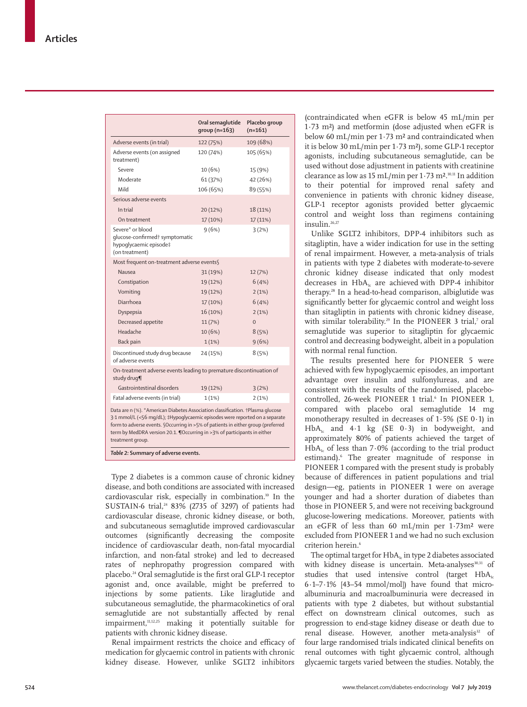|                                                                                                                                                                                                                                                                                                                                                   | Oral semaglutide<br>group $(n=163)$ | Placebo group<br>$(n=161)$ |  |  |
|---------------------------------------------------------------------------------------------------------------------------------------------------------------------------------------------------------------------------------------------------------------------------------------------------------------------------------------------------|-------------------------------------|----------------------------|--|--|
| Adverse events (in trial)                                                                                                                                                                                                                                                                                                                         | 122 (75%)                           | 109 (68%)                  |  |  |
| Adverse events (on assigned<br>treatment)                                                                                                                                                                                                                                                                                                         | 120 (74%)                           | 105 (65%)                  |  |  |
| Severe                                                                                                                                                                                                                                                                                                                                            | 10 (6%)                             | 15 (9%)                    |  |  |
| Moderate                                                                                                                                                                                                                                                                                                                                          | 61 (37%)                            | 42 (26%)                   |  |  |
| Mild                                                                                                                                                                                                                                                                                                                                              | 106 (65%)                           | 89 (55%)                   |  |  |
| Serious adverse events                                                                                                                                                                                                                                                                                                                            |                                     |                            |  |  |
| In trial                                                                                                                                                                                                                                                                                                                                          | 20 (12%)                            | 18 (11%)                   |  |  |
| On treatment                                                                                                                                                                                                                                                                                                                                      | 17 (10%)                            | 17 (11%)                   |  |  |
| Severe* or blood<br>glucose-confirmed <sup>+</sup> symptomatic<br>hypoglycaemic episode‡<br>(on treatment)                                                                                                                                                                                                                                        | 9(6%)                               | 3(2%)                      |  |  |
| Most frequent on-treatment adverse events§                                                                                                                                                                                                                                                                                                        |                                     |                            |  |  |
| Nausea                                                                                                                                                                                                                                                                                                                                            | 31 (19%)                            | 12 (7%)                    |  |  |
| Constipation                                                                                                                                                                                                                                                                                                                                      | 19 (12%)                            | 6(4%)                      |  |  |
| Vomiting                                                                                                                                                                                                                                                                                                                                          | 19 (12%)                            | 2(1%)                      |  |  |
| Diarrhoea                                                                                                                                                                                                                                                                                                                                         | 17 (10%)                            | 6(4%)                      |  |  |
| Dyspepsia                                                                                                                                                                                                                                                                                                                                         | 16 (10%)                            | 2(1%)                      |  |  |
| Decreased appetite                                                                                                                                                                                                                                                                                                                                | 11 (7%)                             | $\Omega$                   |  |  |
| Headache                                                                                                                                                                                                                                                                                                                                          | 10 (6%)                             | 8(5%)                      |  |  |
| Back pain                                                                                                                                                                                                                                                                                                                                         | 1(1%)                               | 9(6%)                      |  |  |
| Discontinued study drug because<br>of adverse events                                                                                                                                                                                                                                                                                              | 24 (15%)                            | 8(5%)                      |  |  |
| On-treatment adverse events leading to premature discontinuation of<br>study drug¶                                                                                                                                                                                                                                                                |                                     |                            |  |  |
| Gastrointestinal disorders                                                                                                                                                                                                                                                                                                                        | 19 (12%)                            | 3(2%)                      |  |  |
| Fatal adverse events (in trial)                                                                                                                                                                                                                                                                                                                   | 1(1%)                               | 2(1%)                      |  |  |
| Data are n (%). *American Diabetes Association classification. †Plasma glucose<br>3.1 mmol/L (<56 mg/dL); #Hypoglycaemic episodes were reported on a separate<br>form to adverse events. §Occurring in >5% of patients in either group (preferred<br>term by MedDRA version 20.1. ¶Occurring in >3% of participants in either<br>treatment group. |                                     |                            |  |  |

*Table 2:* **Summary of adverse events.**

Type 2 diabetes is a common cause of chronic kidney disease, and both conditions are associated with increased cardiovascular risk, especially in combination.<sup>10</sup> In the SUSTAIN-6 trial,<sup>24</sup> 83% (2735 of 3297) of patients had cardiovascular disease, chronic kidney disease, or both, and subcutaneous semaglutide improved cardiovascular outcomes (significantly decreasing the composite incidence of cardiovascular death, non-fatal myocardial infarction, and non-fatal stroke) and led to decreased rates of nephropathy progression compared with placebo.<sup>24</sup> Oral semaglutide is the first oral GLP-1 receptor agonist and, once available, might be preferred to injections by some patients. Like liraglutide and subcutaneous semaglutide, the pharmacokinetics of oral semaglutide are not substantially affected by renal impairment,11,12,25 making it potentially suitable for patients with chronic kidney disease.

Renal impairment restricts the choice and efficacy of medication for glycaemic control in patients with chronic kidney disease. However, unlike SGLT2 inhibitors

(contraindicated when eGFR is below 45 mL/min per 1·73 m²) and metformin (dose adjusted when eGFR is below 60 mL/min per 1·73 m² and contraindicated when it is below 30 mL/min per 1·73 m²), some GLP-1 receptor agonists, including subcutaneous semaglutide, can be used without dose adjustment in patients with creatinine clearance as low as 15 mL/min per 1·73 m².10,11 In addition to their potential for improved renal safety and convenience in patients with chronic kidney disease, GLP-1 receptor agonists provided better glycaemic control and weight loss than regimens containing insulin.26,27

Unlike SGLT2 inhibitors, DPP-4 inhibitors such as sitagliptin, have a wider indication for use in the setting of renal impairment. However, a meta-analysis of trials in patients with type 2 diabetes with moderate-to-severe chronic kidney disease indicated that only modest decreases in  $HbA<sub>1c</sub>$  are achieved with DPP-4 inhibitor therapy.28 In a head-to-head comparison, albiglutide was significantly better for glycaemic control and weight loss than sitagliptin in patients with chronic kidney disease, with similar tolerability.<sup>29</sup> In the PIONEER 3 trial,<sup>7</sup> oral semaglutide was superior to sitagliptin for glycaemic control and decreasing bodyweight, albeit in a population with normal renal function.

The results presented here for PIONEER 5 were achieved with few hypoglycaemic episodes, an important advantage over insulin and sulfonylureas, and are consistent with the results of the randomised, placebocontrolled, 26-week PIONEER 1 trial.<sup>6</sup> In PIONEER 1, compared with placebo oral semaglutide 14 mg monotherapy resulted in decreases of 1·5% (SE 0·1) in  $HbA<sub>1c</sub>$  and 4.1 kg (SE 0.3) in bodyweight, and approximately 80% of patients achieved the target of  $HbA<sub>i</sub>$  of less than 7.0% (according to the trial product estimand). The greater magnitude of response in PIONEER 1 compared with the present study is probably because of differences in patient populations and trial design—eg, patients in PIONEER 1 were on average younger and had a shorter duration of diabetes than those in PIONEER 5, and were not receiving background glucose-lowering medications. Moreover, patients with an eGFR of less than 60 mL/min per 1·73m² were excluded from PIONEER 1 and we had no such exclusion criterion herein.6

The optimal target for  $HbA<sub>1c</sub>$  in type 2 diabetes associated with kidney disease is uncertain. Meta-analyses<sup>30,31</sup> of studies that used intensive control (target  $HbA_1c$ 6·1–7·1% [43–54 mmol/mol]) have found that microalbuminuria and macroalbuminuria were decreased in patients with type 2 diabetes, but without substantial effect on downstream clinical outcomes, such as progression to end-stage kidney disease or death due to renal disease. However, another meta-analysis<sup>32</sup> of four large randomised trials indicated clinical benefits on renal outcomes with tight glycaemic control, although glycaemic targets varied between the studies. Notably, the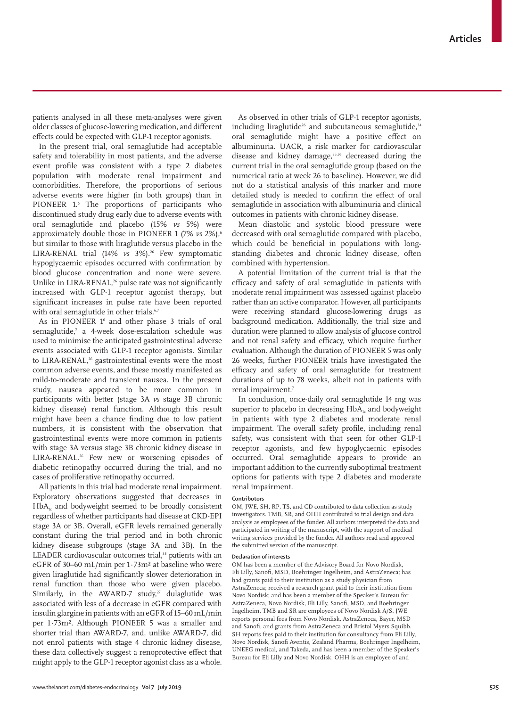patients analysed in all these meta-analyses were given older classes of glucose-lowering medication, and different effects could be expected with GLP-1 receptor agonists.

In the present trial, oral semaglutide had acceptable safety and tolerability in most patients, and the adverse event profile was consistent with a type 2 diabetes population with moderate renal impairment and comorbidities. Therefore, the proportions of serious adverse events were higher (in both groups) than in PIONEER 1.<sup>6</sup> The proportions of participants who discontinued study drug early due to adverse events with oral semaglutide and placebo (15% *vs* 5%) were approximately double those in PIONEER 1 (7% *vs* 2%).<sup>6</sup> but similar to those with liraglutide versus placebo in the LIRA-RENAL trial (14% *vs* 3%).<sup>26</sup> Few symptomatic hypoglycaemic episodes occurred with confirmation by blood glucose concentration and none were severe. Unlike in LIRA-RENAL,<sup>26</sup> pulse rate was not significantly increased with GLP-1 receptor agonist therapy, but significant increases in pulse rate have been reported with oral semaglutide in other trials.<sup>6,7</sup>

As in PIONEER 1<sup>6</sup> and other phase 3 trials of oral semaglutide,7 a 4-week dose-escalation schedule was used to minimise the anticipated gastrointestinal adverse events associated with GLP-1 receptor agonists. Similar to LIRA-RENAL,<sup>26</sup> gastrointestinal events were the most common adverse events, and these mostly manifested as mild-to-moderate and transient nausea. In the present study, nausea appeared to be more common in participants with better (stage 3A *vs* stage 3B chronic kidney disease) renal function. Although this result might have been a chance finding due to low patient numbers, it is consistent with the observation that gastrointestinal events were more common in patients with stage 3A versus stage 3B chronic kidney disease in LIRA-RENAL.<sup>26</sup> Few new or worsening episodes of diabetic retinopathy occurred during the trial, and no cases of proliferative retinopathy occurred.

All patients in this trial had moderate renal impairment. Exploratory observations suggested that decreases in  $HbA<sub>i</sub>$  and bodyweight seemed to be broadly consistent regardless of whether participants had disease at CKD-EPI stage 3A or 3B. Overall, eGFR levels remained generally constant during the trial period and in both chronic kidney disease subgroups (stage 3A and 3B). In the LEADER cardiovascular outcomes trial,<sup>33</sup> patients with an eGFR of 30–60 mL/min per 1·73m² at baseline who were given liraglutide had significantly slower deterioration in renal function than those who were given placebo. Similarly, in the AWARD-7 study, $x$  dulaglutide was associated with less of a decrease in eGFR compared with insulin glargine in patients with an eGFR of 15–60 mL/min per 1·73m². Although PIONEER 5 was a smaller and shorter trial than AWARD-7, and, unlike AWARD-7, did not enrol patients with stage 4 chronic kidney disease, these data collectively suggest a renoprotective effect that might apply to the GLP-1 receptor agonist class as a whole.

As observed in other trials of GLP-1 receptor agonists, including liraglutide<sup>26</sup> and subcutaneous semaglutide,<sup>34</sup> oral semaglutide might have a positive effect on albuminuria. UACR, a risk marker for cardiovascular disease and kidney damage,<sup>35,36</sup> decreased during the current trial in the oral semaglutide group (based on the numerical ratio at week 26 to baseline). However, we did not do a statistical analysis of this marker and more detailed study is needed to confirm the effect of oral semaglutide in association with albuminuria and clinical outcomes in patients with chronic kidney disease.

Mean diastolic and systolic blood pressure were decreased with oral semaglutide compared with placebo, which could be beneficial in populations with longstanding diabetes and chronic kidney disease, often combined with hypertension.

A potential limitation of the current trial is that the efficacy and safety of oral semaglutide in patients with moderate renal impairment was assessed against placebo rather than an active comparator. However, all participants were receiving standard glucose-lowering drugs as background medication. Additionally, the trial size and duration were planned to allow analysis of glucose control and not renal safety and efficacy, which require further evaluation. Although the duration of PIONEER 5 was only 26 weeks, further PIONEER trials have investigated the efficacy and safety of oral semaglutide for treatment durations of up to 78 weeks, albeit not in patients with renal impairment.7

In conclusion, once-daily oral semaglutide 14 mg was superior to placebo in decreasing  $HbA<sub>k</sub>$  and bodyweight in patients with type 2 diabetes and moderate renal impairment. The overall safety profile, including renal safety, was consistent with that seen for other GLP-1 receptor agonists, and few hypoglycaemic episodes occurred. Oral semaglutide appears to provide an important addition to the currently suboptimal treatment options for patients with type 2 diabetes and moderate renal impairment.

#### **Contributors**

OM, JWE, SH, RP, TS, and CD contributed to data collection as study investigators. TMB, SR, and OHH contributed to trial design and data analysis as employees of the funder. All authors interpreted the data and participated in writing of the manuscript, with the support of medical writing services provided by the funder. All authors read and approved the submitted version of the manuscript.

#### **Declaration of interests**

OM has been a member of the Advisory Board for Novo Nordisk, Eli Lilly, Sanofi, MSD, Boehringer Ingelheim, and AstraZeneca; has had grants paid to their institution as a study physician from AstraZeneca; received a research grant paid to their institution from Novo Nordisk; and has been a member of the Speaker's Bureau for AstraZeneca, Novo Nordisk, Eli Lilly, Sanofi, MSD, and Boehringer Ingelheim. TMB and SR are employees of Novo Nordisk A/S. JWE reports personal fees from Novo Nordisk, AstraZeneca, Bayer, MSD and Sanofi, and grants from AstraZeneca and Bristol Myers Squibb. SH reports fees paid to their institution for consultancy from Eli Lilly, Novo Nordisk, Sanofi Aventis, Zealand Pharma, Boehringer Ingelheim, UNEEG medical, and Takeda, and has been a member of the Speaker's Bureau for Eli Lilly and Novo Nordisk. OHH is an employee of and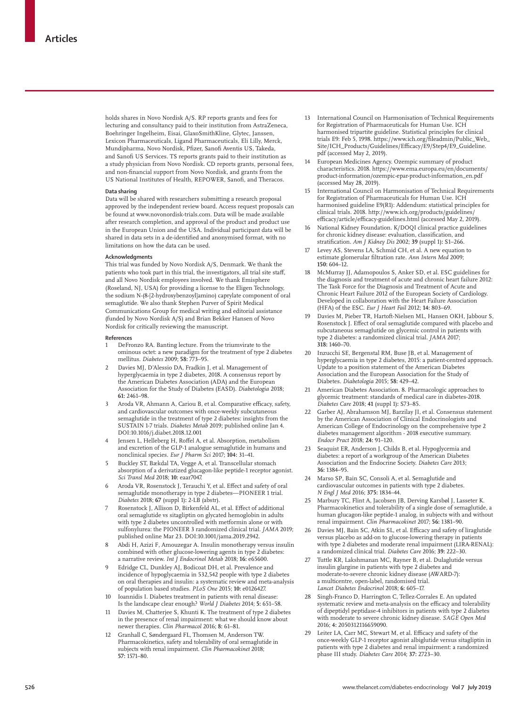holds shares in Novo Nordisk A/S. RP reports grants and fees for lecturing and consultancy paid to their institution from AstraZeneca, Boehringer Ingelheim, Eisai, GlaxoSmithKline, Glytec, Janssen, Lexicon Pharmaceuticals, Ligand Pharmaceuticals, Eli Lilly, Merck, Mundipharma, Novo Nordisk, Pfizer, Sanofi Aventis US, Takeda, and Sanofi US Services. TS reports grants paid to their institution as a study physician from Novo Nordisk. CD reports grants, personal fees, and non-financial support from Novo Nordisk, and grants from the US National Institutes of Health, REPOWER, Sanofi, and Theracos.

#### **Data sharing**

Data will be shared with researchers submitting a research proposal approved by the independent review board. Access request proposals can be found at www.novonordisk-trials.com. Data will be made available after research completion, and approval of the product and product use in the European Union and the USA. Individual participant data will be shared in data sets in a de-identified and anonymised format, with no limitations on how the data can be used.

#### **Acknowledgments**

This trial was funded by Novo Nordisk A/S, Denmark. We thank the patients who took part in this trial, the investigators, all trial site staff, and all Novo Nordisk employees involved. We thank Emisphere (Roseland, NJ, USA) for providing a license to the Eligen Technology, the sodium N-(8-[2-hydroxybenzoyl]amino) caprylate component of oral semaglutide. We also thank Stephen Purver of Spirit Medical Communications Group for medical writing and editorial assistance (funded by Novo Nordisk A/S) and Brian Bekker Hansen of Novo Nordisk for critically reviewing the manuscript.

#### **References**

- DeFronzo RA. Banting lecture. From the triumvirate to the ominous octet: a new paradigm for the treatment of type 2 diabetes mellitus. *Diabetes* 2009; **58:** 773–95.
- 2 Davies MJ, D'Alessio DA, Fradkin J, et al. Management of hyperglycaemia in type 2 diabetes, 2018. A consensus report by the American Diabetes Association (ADA) and the European Association for the Study of Diabetes (EASD). *Diabetologia* 2018; **61:** 2461–98.
- Aroda VR, Ahmann A, Cariou B, et al. Comparative efficacy, safety, and cardiovascular outcomes with once-weekly subcutaneous semaglutide in the treatment of type 2 diabetes: insights from the SUSTAIN 1-7 trials. *Diabetes Metab* 2019; published online Jan 4. DOI:10.1016/j.diabet.2018.12.001
- Jensen L, Helleberg H, Roffel A, et al. Absorption, metabolism and excretion of the GLP-1 analogue semaglutide in humans and nonclinical species. *Eur J Pharm Sci* 2017; **104:** 31–41.
- 5 Buckley ST, Bækdal TA, Vegge A, et al. Transcellular stomach absorption of a derivatized glucagon-like peptide-1 receptor agonist. *Sci Transl Med* 2018; **10:** eaar7047.
- 6 Aroda VR, Rosenstock J, Terauchi Y, et al. Effect and safety of oral semaglutide monotherapy in type 2 diabetes—PIONEER 1 trial. *Diabetes* 2018; **67** (suppl 1)**:** 2-LB (abstr).
- Rosenstock J, Allison D, Birkenfeld AL, et al. Effect of additional oral semaglutide vs sitagliptin on glycated hemoglobin in adults with type 2 diabetes uncontrolled with metformin alone or with sulfonylurea: the PIONEER 3 randomized clinical trial. *JAMA* 2019; published online Mar 23. DOI:10.1001/jama.2019.2942.
- 8 Abdi H, Azizi F, Amouzegar A. Insulin monotherapy versus insulin combined with other glucose-lowering agents in type 2 diabetes: a narrative review. *Int J Endocrinol Metab* 2018; **16:** e65600.
- 9 Edridge CL, Dunkley AJ, Bodicoat DH, et al. Prevalence and incidence of hypoglycaemia in 532,542 people with type 2 diabetes on oral therapies and insulin: a systematic review and meta-analysis of population based studies. *PLoS One* 2015; **10:** e0126427.
- 10 Ioannidis I. Diabetes treatment in patients with renal disease: Is the landscape clear enough? *World J Diabetes* 2014; **5:** 651–58.
- 11 Davies M, Chatterjee S, Khunti K. The treatment of type 2 diabetes in the presence of renal impairment: what we should know about newer therapies. *Clin Pharmacol* 2016; **8:** 61–81.
- 12 Granhall C, Søndergaard FL, Thomsen M, Anderson TW. Pharmacokinetics, safety and tolerability of oral semaglutide in subjects with renal impairment. *Clin Pharmacokinet* 2018; **57:** 1571–80.
- 13 International Council on Harmonisation of Technical Requirements for Registration of Pharmaceuticals for Human Use. ICH harmonised tripartite guideline. Statistical principles for clinical trials E9: Feb 5, 1998. https://www.ich.org/fileadmin/Public\_Web\_ Site/ICH\_Products/Guidelines/Efficacy/E9/Step4/E9\_Guideline. pdf (accessed May 2, 2019).
- 14 European Medicines Agency. Ozempic summary of product characteristics. 2018. https://www.ema.europa.eu/en/documents/ product-information/ozempic-epar-product-information\_en.pdf (accessed May 28, 2019).
- International Council on Harmonisation of Technical Requirements for Registration of Pharmaceuticals for Human Use. ICH harmonised guideline E9(R1): Addendum: statistical principles for clinical trials. 2018. http://www.ich.org/products/guidelines/ efficacy/article/efficacy-guidelines.html (accessed May 2, 2019).
- 16 National Kidney Foundation. K/DOQI clinical practice guidelines for chronic kidney disease: evaluation, classification, and stratification. *Am J Kidney Dis* 2002; **39** (suppl 1)**:** S1–266.
- Levey AS, Stevens LA, Schmid CH, et al. A new equation to estimate glomerular filtration rate. *Ann Intern Med* 2009; **150:** 604–12.
- 18 McMurray JJ, Adamopoulos S, Anker SD, et al. ESC guidelines for the diagnosis and treatment of acute and chronic heart failure 2012: The Task Force for the Diagnosis and Treatment of Acute and Chronic Heart Failure 2012 of the European Society of Cardiology. Developed in collaboration with the Heart Failure Association (HFA) of the ESC. *Eur J Heart Fail* 2012; **14:** 803–69.
- 19 Davies M, Pieber TR, Hartoft-Nielsen ML, Hansen OKH, Jabbour S, Rosenstock J. Effect of oral semaglutide compared with placebo and subcutaneous semaglutide on glycemic control in patients with type 2 diabetes: a randomized clinical trial. *JAMA* 2017; **318:** 1460–70.
- 20 Inzucchi SE, Bergenstal RM, Buse JB, et al. Management of hyperglycaemia in type 2 diabetes, 2015: a patient-centred approach. Update to a position statement of the American Diabetes Association and the European Association for the Study of Diabetes. *Diabetologia* 2015; **58:** 429–42.
- 21 American Diabetes Association. 8. Pharmacologic approaches to glycemic treatment: standards of medical care in diabetes-2018. *Diabetes Care* 2018; **41** (suppl 1)**:** S73–85.
- Garber AJ, Abrahamson MJ, Barzilay JI, et al. Consensus statement by the American Association of Clinical Endocrinologists and American College of Endocrinology on the comprehensive type 2 diabetes management algorithm - 2018 executive summary. *Endocr Pract* 2018; **24:** 91–120.
- 23 Seaquist ER, Anderson J, Childs B, et al. Hypoglycemia and diabetes: a report of a workgroup of the American Diabetes Association and the Endocrine Society. *Diabetes Care* 2013; **36:** 1384–95.
- 24 Marso SP, Bain SC, Consoli A, et al. Semaglutide and cardiovascular outcomes in patients with type 2 diabetes. *N Engl J Med* 2016; **375:** 1834–44.
- 25 Marbury TC, Flint A, Jacobsen JB, Derving Karsbøl J, Lasseter K. Pharmacokinetics and tolerability of a single dose of semaglutide, a human glucagon-like peptide-1 analog, in subjects with and without renal impairment. *Clin Pharmacokinet* 2017; **56:** 1381–90.
- 26 Davies MJ, Bain SC, Atkin SL, et al. Efficacy and safety of liraglutide versus placebo as add-on to glucose-lowering therapy in patients with type 2 diabetes and moderate renal impairment (LIRA-RENAL): a randomized clinical trial. *Diabetes Care* 2016; **39:** 222–30.
- 27 Tuttle KR, Lakshmanan MC, Rayner B, et al. Dulaglutide versus insulin glargine in patients with type 2 diabetes and moderate-to-severe chronic kidney disease (AWARD-7): a multicentre, open-label, randomised trial. *Lancet Diabetes Endocrinol* 2018; **6:** 605–17.
- 28 Singh-Franco D, Harrington C, Tellez-Corrales E. An updated systematic review and meta-analysis on the efficacy and tolerability of dipeptidyl peptidase-4 inhibitors in patients with type 2 diabetes with moderate to severe chronic kidney disease. *SAGE Open Med* 2016; **4:** 2050312116659090.
- 29 Leiter LA, Carr MC, Stewart M, et al. Efficacy and safety of the once-weekly GLP-1 receptor agonist albiglutide versus sitagliptin in patients with type 2 diabetes and renal impairment: a randomized phase III study. *Diabetes Care* 2014; **37:** 2723–30.